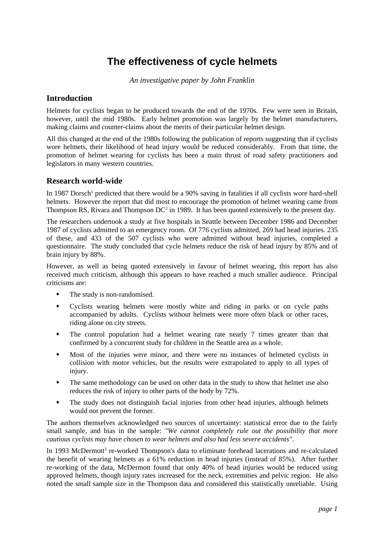# **The effectiveness of cycle helmets**

*An investigative paper by John Franklin*

### **Introduction**

Helmets for cyclists began to be produced towards the end of the 1970s. Few were seen in Britain, however, until the mid 1980s. Early helmet promotion was largely by the helmet manufacturers, making claims and counter-claims about the merits of their particular helmet design.

All this changed at the end of the 1980s following the publication of reports suggesting that if cyclists wore helmets, their likelihood of head injury would be reduced considerably. From that time, the promotion of helmet wearing for cyclists has been a main thrust of road safety practitioners and legislators in many western countries.

#### **Research world-wide**

In 1987 Dorsch<sup>1</sup> predicted that there would be a 90% saving in fatalities if all cyclists wore hard-shell helmets. However the report that did most to encourage the promotion of helmet wearing came from Thompson RS, Rivara and Thompson  $DC^2$  in 1989. It has been quoted extensively to the present day.

The researchers undertook a study at five hospitals in Seattle between December 1986 and December 1987 of cyclists admitted to an emergency room. Of 776 cyclists admitted, 269 had head injuries. 235 of these, and 433 of the 507 cyclists who were admitted without head injuries, completed a questionnaire. The study concluded that cycle helmets reduce the risk of head injury by 85% and of brain injury by 88%.

However, as well as being quoted extensively in favour of helmet wearing, this report has also received much criticism, although this appears to have reached a much smaller audience. Principal criticisms are:

- The study is non-randomised.
- Cyclists wearing helmets were mostly white and riding in parks or on cycle paths accompanied by adults. Cyclists without helmets were more often black or other races, riding alone on city streets.
- The control population had a helmet wearing rate nearly 7 times greater than that confirmed by a concurrent study for children in the Seattle area as a whole.
- Most of the injuries were minor, and there were no instances of helmeted cyclists in collision with motor vehicles, but the results were extrapolated to apply to all types of injury.
- The same methodology can be used on other data in the study to show that helmet use also reduces the risk of injury to other parts of the body by 72%.
- The study does not distinguish facial injuries from other head injuries, although helmets would not prevent the former.

The authors themselves acknowledged two sources of uncertainty: statistical error due to the fairly small sample, and bias in the sample: *"We cannot completely rule out the possibility that more cautious cyclists may have chosen to wear helmets and also had less severe accidents"*.

In 1993 McDermott<sup>3</sup> re-worked Thompson's data to eliminate forehead lacerations and re-calculated the benefit of wearing helmets as a 61% reduction in head injuries (instead of 85%). After further re-working of the data, McDermott found that only 40% of head injuries would be reduced using approved helmets, though injury rates increased for the neck, extremities and pelvic region. He also noted the small sample size in the Thompson data and considered this statistically unreliable. Using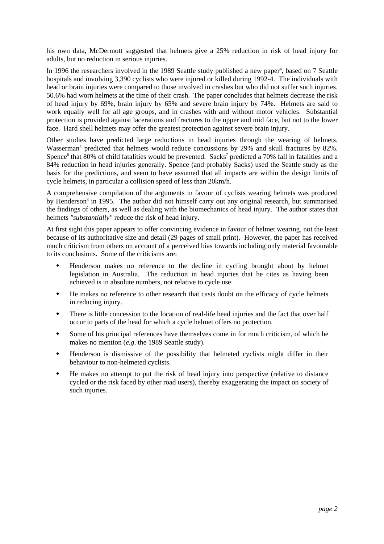his own data, McDermott suggested that helmets give a 25% reduction in risk of head injury for adults, but no reduction in serious injuries.

In 1996 the researchers involved in the 1989 Seattle study published a new paper<sup>4</sup>, based on 7 Seattle hospitals and involving 3,390 cyclists who were injured or killed during 1992-4. The individuals with head or brain injuries were compared to those involved in crashes but who did not suffer such injuries. 50.6% had worn helmets at the time of their crash. The paper concludes that helmets decrease the risk of head injury by 69%, brain injury by 65% and severe brain injury by 74%. Helmets are said to work equally well for all age groups, and in crashes with and without motor vehicles. Substantial protection is provided against lacerations and fractures to the upper and mid face, but not to the lower face. Hard shell helmets may offer the greatest protection against severe brain injury.

Other studies have predicted large reductions in head injuries through the wearing of helmets. Wasserman<sup>5</sup> predicted that helmets would reduce concussions by 29% and skull fractures by 82%. Spence<sup>6</sup> that 80% of child fatalities would be prevented. Sacks<sup>7</sup> predicted a 70% fall in fatalities and a 84% reduction in head injuries generally. Spence (and probably Sacks) used the Seattle study as the basis for the predictions, and seem to have assumed that all impacts are within the design limits of cycle helmets, in particular a collision speed of less than 20km/h.

A comprehensive compilation of the arguments in favour of cyclists wearing helmets was produced by Henderson<sup>8</sup> in 1995. The author did not himself carry out any original research, but summarised the findings of others, as well as dealing with the biomechanics of head injury. The author states that helmets *"substantially"* reduce the risk of head injury.

At first sight this paper appears to offer convincing evidence in favour of helmet wearing, not the least because of its authoritative size and detail (29 pages of small print). However, the paper has received much criticism from others on account of a perceived bias towards including only material favourable to its conclusions. Some of the criticisms are:

- Henderson makes no reference to the decline in cycling brought about by helmet legislation in Australia. The reduction in head injuries that he cites as having been achieved is in absolute numbers, not relative to cycle use.
- He makes no reference to other research that casts doubt on the efficacy of cycle helmets in reducing injury.
- There is little concession to the location of real-life head injuries and the fact that over half occur to parts of the head for which a cycle helmet offers no protection.
- Some of his principal references have themselves come in for much criticism, of which he makes no mention (*e.g*. the 1989 Seattle study).
- Henderson is dismissive of the possibility that helmeted cyclists might differ in their behaviour to non-helmeted cyclists.
- He makes no attempt to put the risk of head injury into perspective (relative to distance cycled or the risk faced by other road users), thereby exaggerating the impact on society of such injuries.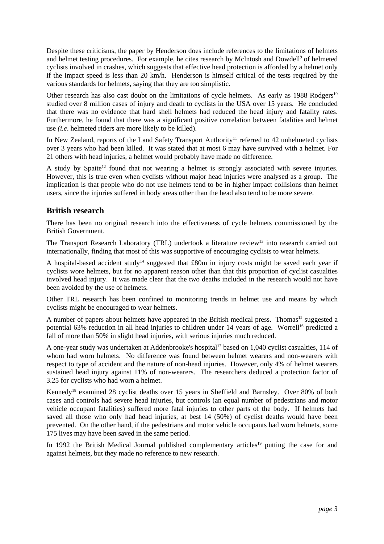Despite these criticisms, the paper by Henderson does include references to the limitations of helmets and helmet testing procedures. For example, he cites research by Mclntosh and Dowdell<sup>9</sup> of helmeted cyclists involved in crashes, which suggests that effective head protection is afforded by a helmet only if the impact speed is less than 20 km/h. Henderson is himself critical of the tests required by the various standards for helmets, saying that they are too simplistic.

Other research has also cast doubt on the limitations of cycle helmets. As early as  $1988$  Rodgers<sup>10</sup> studied over 8 million cases of injury and death to cyclists in the USA over 15 years. He concluded that there was no evidence that hard shell helmets had reduced the head injury and fatality rates. Furthermore, he found that there was a significant positive correlation between fatalities and helmet use *(i.e*. helmeted riders are more likely to be killed).

In New Zealand, reports of the Land Safety Transport Authority<sup>11</sup> referred to 42 unhelmeted cyclists over 3 years who had been killed. It was stated that at most 6 may have survived with a helmet. For 21 others with head injuries, a helmet would probably have made no difference.

A study by Spaite<sup>12</sup> found that not wearing a helmet is strongly associated with severe injuries. However, this is true even when cyclists without major head injuries were analysed as a group. The implication is that people who do not use helmets tend to be in higher impact collisions than helmet users, since the injuries suffered in body areas other than the head also tend to be more severe.

## **British research**

There has been no original research into the effectiveness of cycle helmets commissioned by the British Government.

The Transport Research Laboratory (TRL) undertook a literature review<sup>13</sup> into research carried out internationally, finding that most of this was supportive of encouraging cyclists to wear helmets.

A hospital-based accident study<sup>14</sup> suggested that £80m in injury costs might be saved each year if cyclists wore helmets, but for no apparent reason other than that this proportion of cyclist casualties involved head injury. It was made clear that the two deaths included in the research would not have been avoided by the use of helmets.

Other TRL research has been confined to monitoring trends in helmet use and means by which cyclists might be encouraged to wear helmets.

A number of papers about helmets have appeared in the British medical press. Thomas<sup>15</sup> suggested a potential 63% reduction in all head injuries to children under 14 years of age. Worrell<sup>16</sup> predicted a fall of more than 50% in slight head injuries, with serious injuries much reduced.

A one-year study was undertaken at Addenbrooke's hospital<sup>17</sup> based on 1,040 cyclist casualties, 114 of whom had worn helmets. No difference was found between helmet wearers and non-wearers with respect to type of accident and the nature of non-head injuries. However, only 4% of helmet wearers sustained head injury against 11% of non-wearers. The researchers deduced a protection factor of 3.25 for cyclists who had worn a helmet.

Kennedy<sup>18</sup> examined 28 cyclist deaths over 15 years in Sheffield and Barnsley. Over 80% of both cases and controls had severe head injuries, but controls (an equal number of pedestrians and motor vehicle occupant fatalities) suffered more fatal injuries to other parts of the body. If helmets had saved all those who only had head injuries, at best 14 (50%) of cyclist deaths would have been prevented. On the other hand, if the pedestrians and motor vehicle occupants had worn helmets, some 175 lives may have been saved in the same period.

In 1992 the British Medical Journal published complementary articles<sup>19</sup> putting the case for and against helmets, but they made no reference to new research.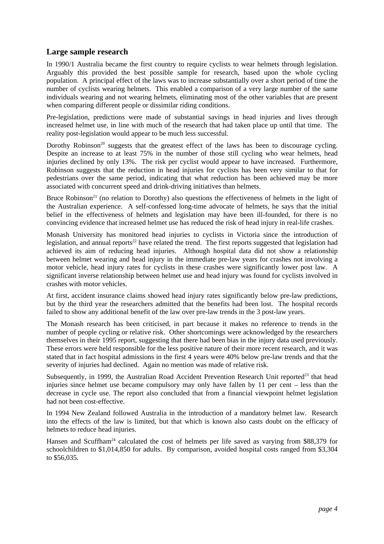#### **Large sample research**

In 1990/1 Australia became the first country to require cyclists to wear helmets through legislation. Arguably this provided the best possible sample for research, based upon the whole cycling population. A principal effect of the laws was to increase substantially over a short period of time the number of cyclists wearing helmets. This enabled a comparison of a very large number of the same individuals wearing and not wearing helmets, eliminating most of the other variables that are present when comparing different people or dissimilar riding conditions.

Pre-legislation, predictions were made of substantial savings in head injuries and lives through increased helmet use, in line with much of the research that had taken place up until that time. The reality post-legislation would appear to be much less successful.

Dorothy Robinson<sup>20</sup> suggests that the greatest effect of the laws has been to discourage cycling. Despite an increase to at least 75% in the number of those still cycling who wear helmets, head injuries declined by only 13%. The risk per cyclist would appear to have increased. Furthermore, Robinson suggests that the reduction in head injuries for cyclists has been very similar to that for pedestrians over the same period, indicating that what reduction has been achieved may be more associated with concurrent speed and drink-driving initiatives than helmets.

Bruce Robinson<sup>21</sup> (no relation to Dorothy) also questions the effectiveness of helmets in the light of the Australian experience. A self-confessed long-time advocate of helmets, he says that the initial belief in the effectiveness of helmets and legislation may have been ill-founded, for there is no convincing evidence that increased helmet use has reduced the risk of head injury in real-life crashes.

Monash University has monitored head injuries to cyclists in Victoria since the introduction of legislation, and annual reports<sup>22</sup> have related the trend. The first reports suggested that legislation had achieved its aim of reducing head injuries. Although hospital data did not show a relationship between helmet wearing and head injury in the immediate pre-law years for crashes not involving a motor vehicle, head injury rates for cyclists in these crashes were significantly lower post law. A significant inverse relationship between helmet use and head injury was found for cyclists involved in crashes with motor vehicles.

At first, accident insurance claims showed head injury rates significantly below pre-law predictions, but by the third year the researchers admitted that the benefits had been lost. The hospital records failed to show any additional benefit of the law over pre-law trends in the 3 post-law years.

The Monash research has been criticised, in part because it makes no reference to trends in the number of people cycling or relative risk. Other shortcomings were acknowledged by the researchers themselves in their 1995 report, suggesting that there had been bias in the injury data used previously. These errors were held responsible for the less positive nature of their more recent research, and it was stated that in fact hospital admissions in the first 4 years were 40% below pre-law trends and that the severity of injuries had declined. Again no mention was made of relative risk.

Subsequently, in 1999, the Australian Road Accident Prevention Research Unit reported<sup>23</sup> that head injuries since helmet use became compulsory may only have fallen by 11 per cent – less than the decrease in cycle use. The report also concluded that from a financial viewpoint helmet legislation had not been cost-effective.

In 1994 New Zealand followed Australia in the introduction of a mandatory helmet law. Research into the effects of the law is limited, but that which is known also casts doubt on the efficacy of helmets to reduce head injuries.

Hansen and Scuffham<sup>24</sup> calculated the cost of helmets per life saved as varying from \$88,379 for schoolchildren to \$1,014,850 for adults. By comparison, avoided hospital costs ranged from \$3,304 to \$56,035.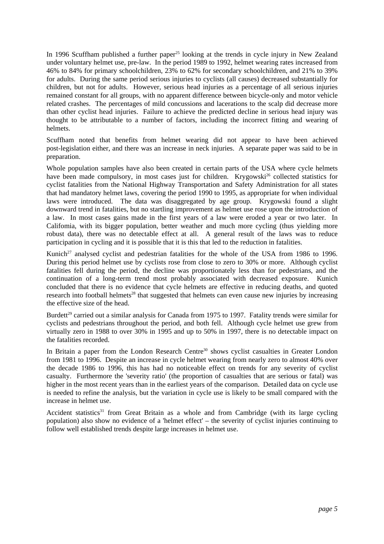In 1996 Scuffham published a further paper<sup>25</sup> looking at the trends in cycle injury in New Zealand under voluntary helmet use, pre-law. In the period 1989 to 1992, helmet wearing rates increased from 46% to 84% for primary schoolchildren, 23% to 62% for secondary schoolchildren, and 21% to 39% for adults. During the same period serious injuries to cyclists (all causes) decreased substantially for children, but not for adults. However, serious head injuries as a percentage of all serious injuries remained constant for all groups, with no apparent difference between bicycle-only and motor vehicle related crashes. The percentages of mild concussions and lacerations to the scalp did decrease more than other cyclist head injuries. Failure to achieve the predicted decline in serious head injury was thought to be attributable to a number of factors, including the incorrect fitting and wearing of helmets.

Scuffham noted that benefits from helmet wearing did not appear to have been achieved post-legislation either, and there was an increase in neck injuries. A separate paper was said to be in preparation.

Whole population samples have also been created in certain parts of the USA where cycle helmets have been made compulsory, in most cases just for children. Krygowski<sup>26</sup> collected statistics for cyclist fatalities from the National Highway Transportation and Safety Administration for all states that had mandatory helmet laws, covering the period 1990 to 1995, as appropriate for when individual laws were introduced. The data was disaggregated by age group. Krygowski found a slight downward trend in fatalities, but no startling improvement as helmet use rose upon the introduction of a law. In most cases gains made in the first years of a law were eroded a year or two later. In Califomia, with its bigger population, better weather and much more cycling (thus yielding more robust data), there was no detectable effect at all. A general result of the laws was to reduce participation in cycling and it is possible that it is this that led to the reduction in fatalities.

Kunich<sup>27</sup> analysed cyclist and pedestrian fatalities for the whole of the USA from 1986 to 1996. During this period helmet use by cyclists rose from close to zero to 30% or more. Although cyclist fatalities fell during the period, the decline was proportionately less than for pedestrians, and the continuation of a long-term trend most probably associated with decreased exposure. Kunich concluded that there is no evidence that cycle helmets are effective in reducing deaths, and quoted research into football helmets<sup>28</sup> that suggested that helmets can even cause new injuries by increasing the effective size of the head.

Burdett<sup>29</sup> carried out a similar analysis for Canada from 1975 to 1997. Fatality trends were similar for cyclists and pedestrians throughout the period, and both fell. Although cycle helmet use grew from virtually zero in 1988 to over 30% in 1995 and up to 50% in 1997, there is no detectable impact on the fatalities recorded.

In Britain a paper from the London Research Centre<sup>30</sup> shows cyclist casualties in Greater London from 1981 to 1996. Despite an increase in cycle helmet wearing from nearly zero to almost 40% over the decade 1986 to 1996, this has had no noticeable effect on trends for any severity of cyclist casualty. Furthermore the 'severity ratio' (the proportion of casualties that are serious or fatal) was higher in the most recent years than in the earliest years of the comparison. Detailed data on cycle use is needed to refine the analysis, but the variation in cycle use is likely to be small compared with the increase in helmet use.

Accident statistics<sup>31</sup> from Great Britain as a whole and from Cambridge (with its large cycling population) also show no evidence of a 'helmet effect' – the severity of cyclist injuries continuing to follow well established trends despite large increases in helmet use.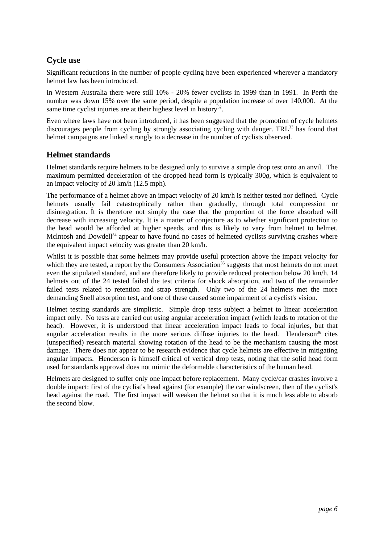# **Cycle use**

Significant reductions in the number of people cycling have been experienced wherever a mandatory helmet law has been introduced.

In Western Australia there were still 10% - 20% fewer cyclists in 1999 than in 1991. In Perth the number was down 15% over the same period, despite a population increase of over 140,000. At the same time cyclist injuries are at their highest level in history<sup>32</sup>.

Even where laws have not been introduced, it has been suggested that the promotion of cycle helmets discourages people from cycling by strongly associating cycling with danger. TRL<sup>33</sup> has found that helmet campaigns are linked strongly to a decrease in the number of cyclists observed.

## **Helmet standards**

Helmet standards require helmets to be designed only to survive a simple drop test onto an anvil. The maximum permitted deceleration of the dropped head form is typically 300*g*, which is equivalent to an impact velocity of 20 km/h (12.5 mph).

The performance of a helmet above an impact velocity of 20 km/h is neither tested nor defined. Cycle helmets usually fail catastrophically rather than gradually, through total compression or disintegration. It is therefore not simply the case that the proportion of the force absorbed will decrease with increasing velocity. It is a matter of conjecture as to whether significant protection to the head would be afforded at higher speeds, and this is likely to vary from helmet to helmet. Mclntosh and Dowdell<sup>34</sup> appear to have found no cases of helmeted cyclists surviving crashes where the equivalent impact velocity was greater than 20 km/h.

Whilst it is possible that some helmets may provide useful protection above the impact velocity for which they are tested, a report by the Consumers Association<sup>35</sup> suggests that most helmets do not meet even the stipulated standard, and are therefore likely to provide reduced protection below 20 km/h. 14 helmets out of the 24 tested failed the test criteria for shock absorption, and two of the remainder failed tests related to retention and strap strength. Only two of the 24 helmets met the more demanding Snell absorption test, and one of these caused some impairment of a cyclist's vision.

Helmet testing standards are simplistic. Simple drop tests subject a helmet to linear acceleration impact only. No tests are carried out using angular acceleration impact (which leads to rotation of the head). However, it is understood that linear acceleration impact leads to focal injuries, but that angular acceleration results in the more serious diffuse injuries to the head. Henderson $36$  cites (unspecified) research material showing rotation of the head to be the mechanism causing the most damage. There does not appear to be research evidence that cycle helmets are effective in mitigating angular impacts. Henderson is himself critical of vertical drop tests, noting that the solid head form used for standards approval does not mimic the deformable characteristics of the human head.

Helmets are designed to suffer only one impact before replacement. Many cycle/car crashes involve a double impact: first of the cyclist's head against (for example) the car windscreen, then of the cyclist's head against the road. The first impact will weaken the helmet so that it is much less able to absorb the second blow.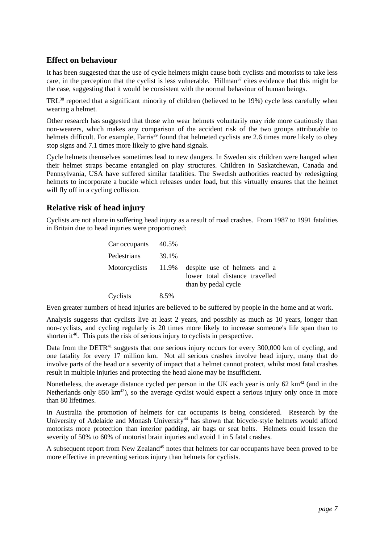## **Effect on behaviour**

It has been suggested that the use of cycle helmets might cause both cyclists and motorists to take less care, in the perception that the cyclist is less vulnerable. Hillman<sup>37</sup> cites evidence that this might be the case, suggesting that it would be consistent with the normal behaviour of human beings.

TRL<sup>38</sup> reported that a significant minority of children (believed to be 19%) cycle less carefully when wearing a helmet.

Other research has suggested that those who wear helmets voluntarily may ride more cautiously than non-wearers, which makes any comparison of the accident risk of the two groups attributable to helmets difficult. For example, Farris<sup>39</sup> found that helmeted cyclists are 2.6 times more likely to obey stop signs and 7.1 times more likely to give hand signals.

Cycle helmets themselves sometimes lead to new dangers. In Sweden six children were hanged when their helmet straps became entangled on play structures. Children in Saskatchewan, Canada and Pennsylvania, USA have suffered similar fatalities. The Swedish authorities reacted by redesigning helmets to incorporate a buckle which releases under load, but this virtually ensures that the helmet will fly off in a cycling collision.

## **Relative risk of head injury**

Cyclists are not alone in suffering head injury as a result of road crashes. From 1987 to 1991 fatalities in Britain due to head injuries were proportioned:

| Car occupants | 40.5% |                                                                                       |
|---------------|-------|---------------------------------------------------------------------------------------|
| Pedestrians   | 39.1% |                                                                                       |
| Motorcyclists | 11.9% | despite use of helmets and a<br>lower total distance travelled<br>than by pedal cycle |
| Cyclists      | 8.5%  |                                                                                       |

Even greater numbers of head injuries are believed to be suffered by people in the home and at work.

Analysis suggests that cyclists live at least 2 years, and possibly as much as 10 years, longer than non-cyclists, and cycling regularly is 20 times more likely to increase someone's life span than to shorten it<sup>40</sup>. This puts the risk of serious injury to cyclists in perspective.

Data from the DETR<sup>41</sup> suggests that one serious injury occurs for every 300,000 km of cycling, and one fatality for every 17 million km. Not all serious crashes involve head injury, many that do involve parts of the head or a severity of impact that a helmet cannot protect, whilst most fatal crashes result in multiple injuries and protecting the head alone may be insufficient.

Nonetheless, the average distance cycled per person in the UK each year is only 62 km<sup>42</sup> (and in the Netherlands only  $850 \text{ km}^{43}$ , so the average cyclist would expect a serious injury only once in more than 80 lifetimes.

In Australia the promotion of helmets for car occupants is being considered. Research by the University of Adelaide and Monash University<sup>44</sup> has shown that bicycle-style helmets would afford motorists more protection than interior padding, air bags or seat belts. Helmets could lessen the severity of 50% to 60% of motorist brain injuries and avoid 1 in 5 fatal crashes.

A subsequent report from New Zealand<sup>45</sup> notes that helmets for car occupants have been proved to be more effective in preventing serious injury than helmets for cyclists.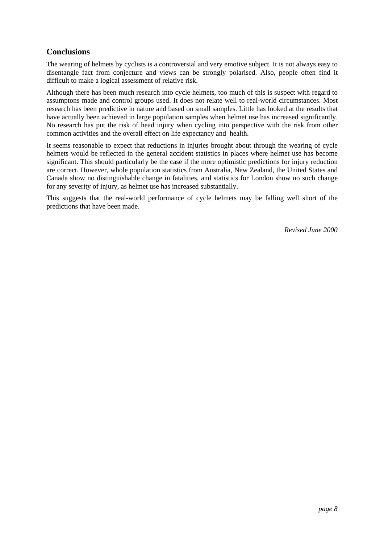# **Conclusions**

The wearing of helmets by cyclists is a controversial and very emotive subject. It is not always easy to disentangle fact from conjecture and views can be strongly polarised. Also, people often find it difficult to make a logical assessment of relative risk.

Although there has been much research into cycle helmets, too much of this is suspect with regard to assumptons made and control groups used. It does not relate well to real-world circumstances. Most research has been predictive in nature and based on small samples. Little has looked at the results that have actually been achieved in large population samples when helmet use has increased significantly. No research has put the risk of head injury when cycling into perspective with the risk from other common activities and the overall effect on life expectancy and health.

It seems reasonable to expect that reductions in injuries brought about through the wearing of cycle helmets would be reflected in the general accident statistics in places where helmet use has become significant. This should particularly be the case if the more optimistic predictions for injury reduction are correct. However, whole population statistics from Australia, New Zealand, the United States and Canada show no distinguishable change in fatalities, and statistics for London show no such change for any severity of injury, as helmet use has increased substantially.

This suggests that the real-world performance of cycle helmets may be falling well short of the predictions that have been made.

*Revised June 2000*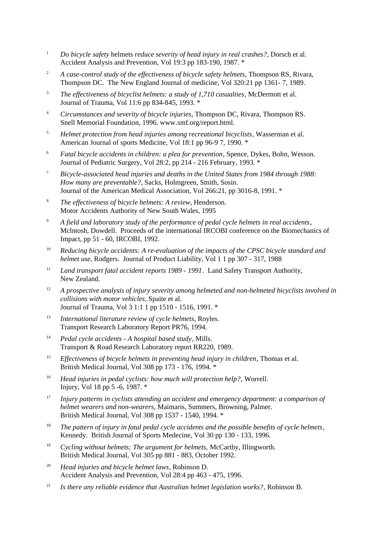- <sup>1</sup> *Do bicycle safety* helmets *reduce severity of head injury in real crashes?*, Dorsch et al. Accident Analysis and Prevention, Vol 19:3 pp 183-190, 1987. \*
- <sup>2</sup> *A case-control study of the effectiveness of bicycle safety helmets*, Thompson RS, Rivara, Thompson DC. The New England Journal of medicine, Vol 320:21 pp 1361- 7, 1989.
- <sup>3</sup> *The effectiveness of bicyclist helmets: a study of 1,710 casualties*, McDermott et al. Journal of Trauma, Vol 11:6 pp 834-845, 1993. \*
- <sup>4</sup> *Circumstances and severity of bicycle injuries*, Thompson DC, Rivara, Thompson RS. Snell Memorial Foundation, 1996. www.smf.org/report.html.
- <sup>5</sup> *Helmet protection from head injuries among recreational bicyclists*, Wasserman et al. American Journal of sports Medicine, Vol 18:1 pp 96-9 7, 1990. \*
- <sup>6</sup> *Fatal bicycle accidents in children: a plea for prevention*, Spence, Dykes, Bohn, Wesson. Journal of Pediatric Surgery, Vol 28:2, pp 214 - 216 February, 1993. \*
- <sup>7</sup> *Bicycle-associated head injuries and deaths in the United States from 1984 through 1988: How many are preventable?*, Sacks, Holmgreen, Smith, Sosin. Journal of the American Medical Association, Vol 266:21, pp 3016-8, 1991. \*
- <sup>8</sup> *The effectiveness of bicycle helmets: A review*, Henderson. Motor Accidents Authority of New South Wales, 1995
- <sup>9</sup> *A field and laboratory study of the performance of pedal cycle helmets in real accidents*, Mclntosh, Dowdell. Proceeds of the international IRCOBI conference on the Biomechanics of Impact, pp 51 - 60, IRCOBI, 1992.
- <sup>10</sup> *Reducing bicycle accidents: A re-evaluation of the impacts of the CPSC bicycle standard and helmet use*, Rodgers. Journal of Product Liability, Vol 1 1 pp 307 - 317, 1988
- <sup>11</sup> *Land transport fatal accident reports 1989 1991.* Land Safety Transport Authority, New Zealand.
- <sup>12</sup> *A prospective analysis of injury severity among helmeted and non-helmeted bicyclists involved in collisions with motor vehicles*, Spaite et al. Journal of Trauma, Vol 3 1:1 1 pp 1510 - 1516, 1991. \*
- <sup>13</sup> *International literature review of cycle helmets*, Royles. Transport Research Laboratory Report PR76, 1994.
- <sup>14</sup> *Pedal cycle accidents A hospital based study*, Mills. Transport & Road Research Laboratory report RR220, 1989.
- <sup>15</sup> *Effectiveness of bicycle helmets in preventing head injury in children*, Thomas et al. British Medical Journal, Vol 308 pp 173 - 176, 1994. \*
- <sup>16</sup> *Head injuries in pedal cyclists: how much will protection help?*, Worrell. Injury, Vol 18 pp 5 -6, 1987. \*
- <sup>17</sup> *Injury patterns in cyclists attending an accident and emergency department: a comparison of helmet wearers and non-wearers*, Maimaris, Summers, Browning, Palmer. British Medical Journal, Vol 308 pp 1537 - 1540, 1994. \*
- <sup>18</sup> *The pattern of injury in fatal pedal cycle accidents and the possible benefits of cycle helmets*, Kennedy. British Journal of Sports Medecine, Vol 30 pp 130 - 133, 1996.
- <sup>19</sup> *Cycling without helmets; The argument for helmets,* McCarthy, Illingworth. British Medical Journal, Vol 305 pp 881 - 883, October 1992.
- <sup>20</sup> *Head injuries and bicycle helmet laws*, Robinson D. Accident Analysis and Prevention, Vol 28:4 pp 463 - 475, 1996.
- <sup>21</sup> *Is there any reliable evidence that Australian helmet legislation works?*, Robinson B.